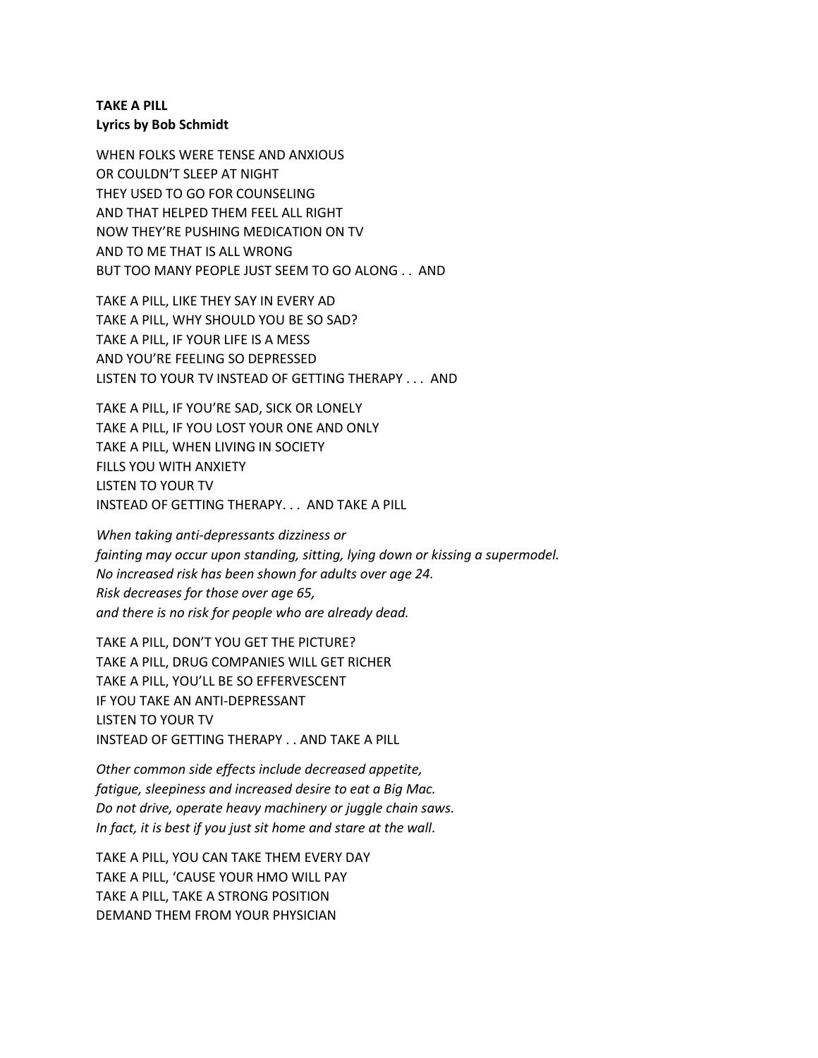## **TAKE A PILL Lyrics by Bob Schmidt**

WHEN FOLKS WERE TENSE AND ANXIOUS OR COULDN'T SLEEP AT NIGHT THEY USED TO GO FOR COUNSELING AND THAT HELPED THEM FEEL ALL RIGHT NOW THEY'RE PUSHING MEDICATION ON TV AND TO ME THAT IS ALL WRONG BUT TOO MANY PEOPLE JUST SEEM TO GO ALONG . . AND

TAKE A PILL, LIKE THEY SAY IN EVERY AD TAKE A PILL, WHY SHOULD YOU BE SO SAD? TAKE A PILL, IF YOUR LIFE IS A MESS AND YOU'RE FEELING SO DEPRESSED LISTEN TO YOUR TV INSTEAD OF GETTING THERAPY . . . AND

TAKE A PILL, IF YOU'RE SAD, SICK OR LONELY TAKE A PILL, IF YOU LOST YOUR ONE AND ONLY TAKE A PILL, WHEN LIVING IN SOCIETY FILLS YOU WITH ANXIETY LISTEN TO YOUR TV INSTEAD OF GETTING THERAPY. . . AND TAKE A PILL

*When taking anti-depressants dizziness or fainting may occur upon standing, sitting, lying down or kissing a supermodel. No increased risk has been shown for adults over age 24. Risk decreases for those over age 65, and there is no risk for people who are already dead.*

TAKE A PILL, DON'T YOU GET THE PICTURE? TAKE A PILL, DRUG COMPANIES WILL GET RICHER TAKE A PILL, YOU'LL BE SO EFFERVESCENT IF YOU TAKE AN ANTI-DEPRESSANT LISTEN TO YOUR TV INSTEAD OF GETTING THERAPY . . AND TAKE A PILL

*Other common side effects include decreased appetite, fatigue, sleepiness and increased desire to eat a Big Mac. Do not drive, operate heavy machinery or juggle chain saws. In fact, it is best if you just sit home and stare at the wall*.

TAKE A PILL, YOU CAN TAKE THEM EVERY DAY TAKE A PILL, 'CAUSE YOUR HMO WILL PAY TAKE A PILL, TAKE A STRONG POSITION DEMAND THEM FROM YOUR PHYSICIAN